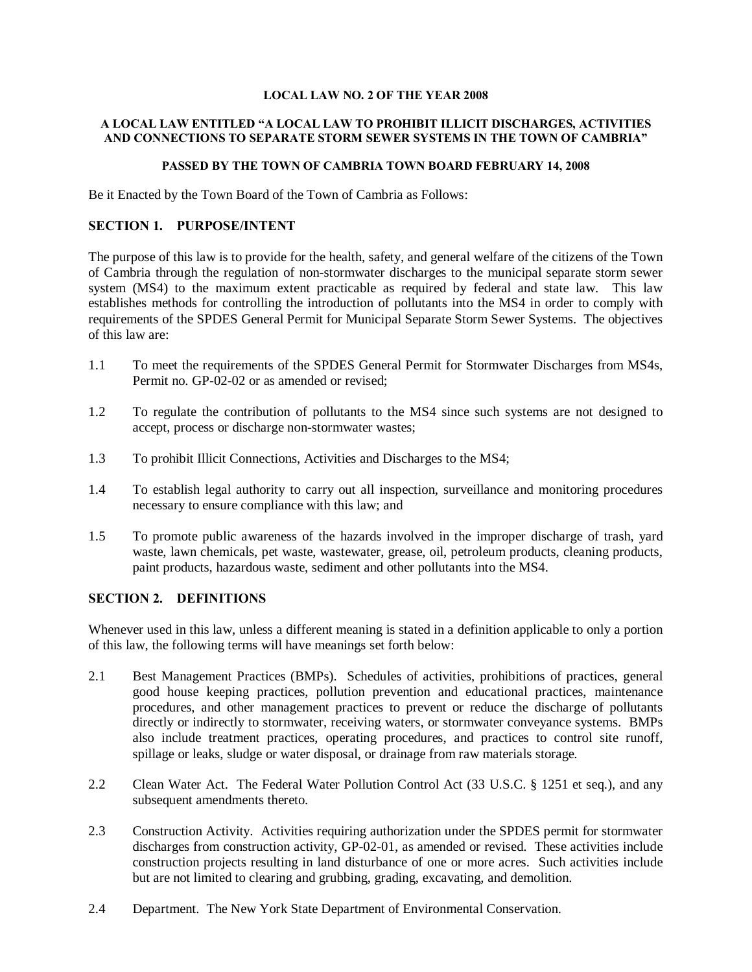#### **LOCAL LAW NO. 2 OF THE YEAR 2008**

#### **A LOCAL LAW ENTITLED "A LOCAL LAW TO PROHIBIT ILLICIT DISCHARGES, ACTIVITIES AND CONNECTIONS TO SEPARATE STORM SEWER SYSTEMS IN THE TOWN OF CAMBRIA"**

#### **PASSED BY THE TOWN OF CAMBRIA TOWN BOARD FEBRUARY 14, 2008**

Be it Enacted by the Town Board of the Town of Cambria as Follows:

#### **SECTION 1. PURPOSE/INTENT**

The purpose of this law is to provide for the health, safety, and general welfare of the citizens of the Town of Cambria through the regulation of non-stormwater discharges to the municipal separate storm sewer system (MS4) to the maximum extent practicable as required by federal and state law. This law establishes methods for controlling the introduction of pollutants into the MS4 in order to comply with requirements of the SPDES General Permit for Municipal Separate Storm Sewer Systems. The objectives of this law are:

- 1.1 To meet the requirements of the SPDES General Permit for Stormwater Discharges from MS4s, Permit no. GP-02-02 or as amended or revised;
- 1.2 To regulate the contribution of pollutants to the MS4 since such systems are not designed to accept, process or discharge non-stormwater wastes;
- 1.3 To prohibit Illicit Connections, Activities and Discharges to the MS4;
- 1.4 To establish legal authority to carry out all inspection, surveillance and monitoring procedures necessary to ensure compliance with this law; and
- 1.5 To promote public awareness of the hazards involved in the improper discharge of trash, yard waste, lawn chemicals, pet waste, wastewater, grease, oil, petroleum products, cleaning products, paint products, hazardous waste, sediment and other pollutants into the MS4.

## **SECTION 2. DEFINITIONS**

Whenever used in this law, unless a different meaning is stated in a definition applicable to only a portion of this law, the following terms will have meanings set forth below:

- 2.1 Best Management Practices (BMPs). Schedules of activities, prohibitions of practices, general good house keeping practices, pollution prevention and educational practices, maintenance procedures, and other management practices to prevent or reduce the discharge of pollutants directly or indirectly to stormwater, receiving waters, or stormwater conveyance systems. BMPs also include treatment practices, operating procedures, and practices to control site runoff, spillage or leaks, sludge or water disposal, or drainage from raw materials storage.
- 2.2 Clean Water Act. The Federal Water Pollution Control Act (33 U.S.C. § 1251 et seq.), and any subsequent amendments thereto.
- 2.3 Construction Activity. Activities requiring authorization under the SPDES permit for stormwater discharges from construction activity, GP-02-01, as amended or revised. These activities include construction projects resulting in land disturbance of one or more acres. Such activities include but are not limited to clearing and grubbing, grading, excavating, and demolition.
- 2.4 Department. The New York State Department of Environmental Conservation.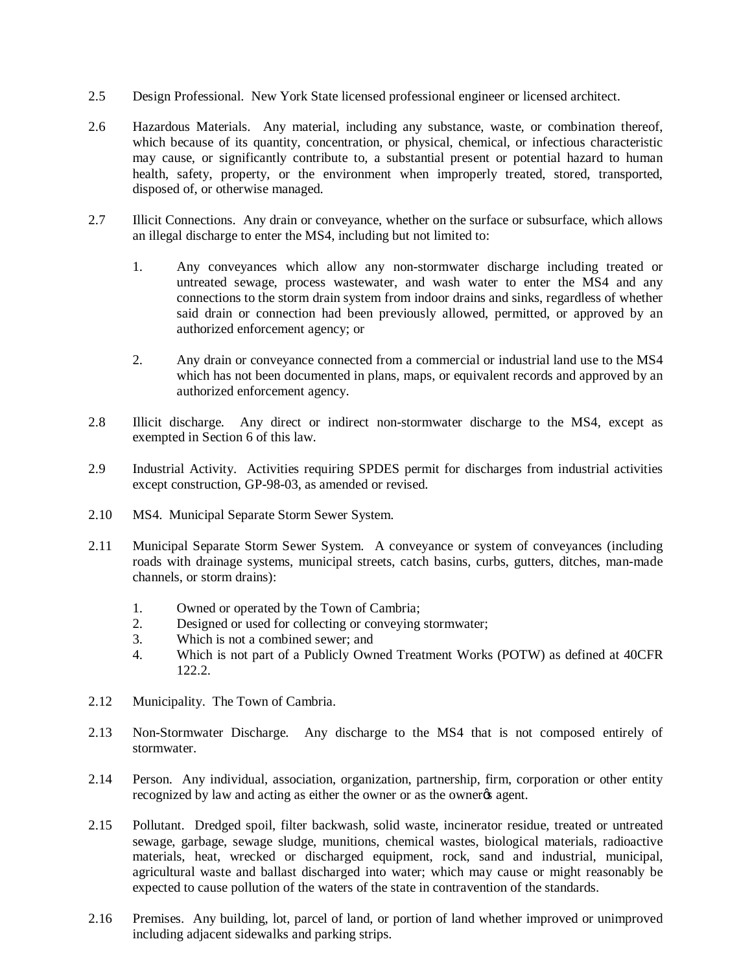- 2.5 Design Professional. New York State licensed professional engineer or licensed architect.
- 2.6 Hazardous Materials. Any material, including any substance, waste, or combination thereof, which because of its quantity, concentration, or physical, chemical, or infectious characteristic may cause, or significantly contribute to, a substantial present or potential hazard to human health, safety, property, or the environment when improperly treated, stored, transported, disposed of, or otherwise managed.
- 2.7 Illicit Connections. Any drain or conveyance, whether on the surface or subsurface, which allows an illegal discharge to enter the MS4, including but not limited to:
	- 1. Any conveyances which allow any non-stormwater discharge including treated or untreated sewage, process wastewater, and wash water to enter the MS4 and any connections to the storm drain system from indoor drains and sinks, regardless of whether said drain or connection had been previously allowed, permitted, or approved by an authorized enforcement agency; or
	- 2. Any drain or conveyance connected from a commercial or industrial land use to the MS4 which has not been documented in plans, maps, or equivalent records and approved by an authorized enforcement agency.
- 2.8 Illicit discharge. Any direct or indirect non-stormwater discharge to the MS4, except as exempted in Section 6 of this law.
- 2.9 Industrial Activity. Activities requiring SPDES permit for discharges from industrial activities except construction, GP-98-03, as amended or revised.
- 2.10 MS4. Municipal Separate Storm Sewer System.
- 2.11 Municipal Separate Storm Sewer System. A conveyance or system of conveyances (including roads with drainage systems, municipal streets, catch basins, curbs, gutters, ditches, man-made channels, or storm drains):
	- 1. Owned or operated by the Town of Cambria;
	- 2. Designed or used for collecting or conveying stormwater;
	- 3. Which is not a combined sewer; and
	- 4. Which is not part of a Publicly Owned Treatment Works (POTW) as defined at 40CFR 122.2.
- 2.12 Municipality. The Town of Cambria.
- 2.13 Non-Stormwater Discharge. Any discharge to the MS4 that is not composed entirely of stormwater.
- 2.14 Person. Any individual, association, organization, partnership, firm, corporation or other entity recognized by law and acting as either the owner or as the owner<sub>%</sub> agent.
- 2.15 Pollutant. Dredged spoil, filter backwash, solid waste, incinerator residue, treated or untreated sewage, garbage, sewage sludge, munitions, chemical wastes, biological materials, radioactive materials, heat, wrecked or discharged equipment, rock, sand and industrial, municipal, agricultural waste and ballast discharged into water; which may cause or might reasonably be expected to cause pollution of the waters of the state in contravention of the standards.
- 2.16 Premises. Any building, lot, parcel of land, or portion of land whether improved or unimproved including adjacent sidewalks and parking strips.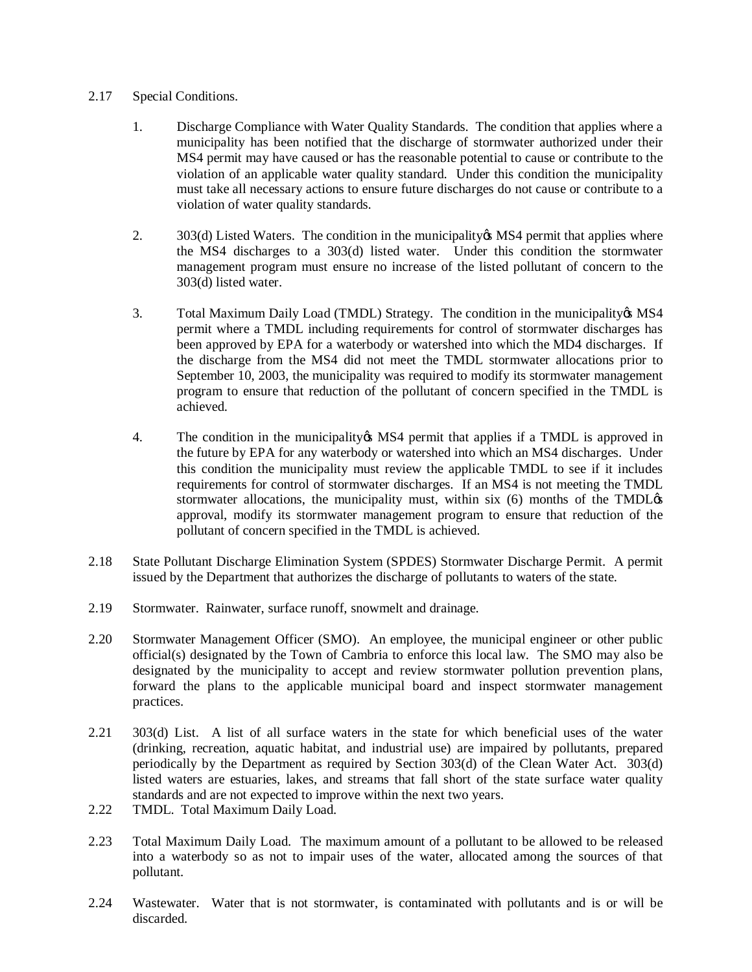## 2.17 Special Conditions.

- 1. Discharge Compliance with Water Quality Standards. The condition that applies where a municipality has been notified that the discharge of stormwater authorized under their MS4 permit may have caused or has the reasonable potential to cause or contribute to the violation of an applicable water quality standard. Under this condition the municipality must take all necessary actions to ensure future discharges do not cause or contribute to a violation of water quality standards.
- 2. 303(d) Listed Waters. The condition in the municipality is MS4 permit that applies where the MS4 discharges to a 303(d) listed water. Under this condition the stormwater management program must ensure no increase of the listed pollutant of concern to the 303(d) listed water.
- 3. Total Maximum Daily Load (TMDL) Strategy. The condition in the municipality & MS4 permit where a TMDL including requirements for control of stormwater discharges has been approved by EPA for a waterbody or watershed into which the MD4 discharges. If the discharge from the MS4 did not meet the TMDL stormwater allocations prior to September 10, 2003, the municipality was required to modify its stormwater management program to ensure that reduction of the pollutant of concern specified in the TMDL is achieved.
- 4. The condition in the municipality in MS4 permit that applies if a TMDL is approved in the future by EPA for any waterbody or watershed into which an MS4 discharges. Under this condition the municipality must review the applicable TMDL to see if it includes requirements for control of stormwater discharges. If an MS4 is not meeting the TMDL stormwater allocations, the municipality must, within six  $(6)$  months of the TMDL $\alpha$ approval, modify its stormwater management program to ensure that reduction of the pollutant of concern specified in the TMDL is achieved.
- 2.18 State Pollutant Discharge Elimination System (SPDES) Stormwater Discharge Permit. A permit issued by the Department that authorizes the discharge of pollutants to waters of the state.
- 2.19 Stormwater. Rainwater, surface runoff, snowmelt and drainage.
- 2.20 Stormwater Management Officer (SMO). An employee, the municipal engineer or other public official(s) designated by the Town of Cambria to enforce this local law. The SMO may also be designated by the municipality to accept and review stormwater pollution prevention plans, forward the plans to the applicable municipal board and inspect stormwater management practices.
- 2.21 303(d) List. A list of all surface waters in the state for which beneficial uses of the water (drinking, recreation, aquatic habitat, and industrial use) are impaired by pollutants, prepared periodically by the Department as required by Section 303(d) of the Clean Water Act. 303(d) listed waters are estuaries, lakes, and streams that fall short of the state surface water quality standards and are not expected to improve within the next two years.
- 2.22 TMDL. Total Maximum Daily Load.
- 2.23 Total Maximum Daily Load. The maximum amount of a pollutant to be allowed to be released into a waterbody so as not to impair uses of the water, allocated among the sources of that pollutant.
- 2.24 Wastewater. Water that is not stormwater, is contaminated with pollutants and is or will be discarded.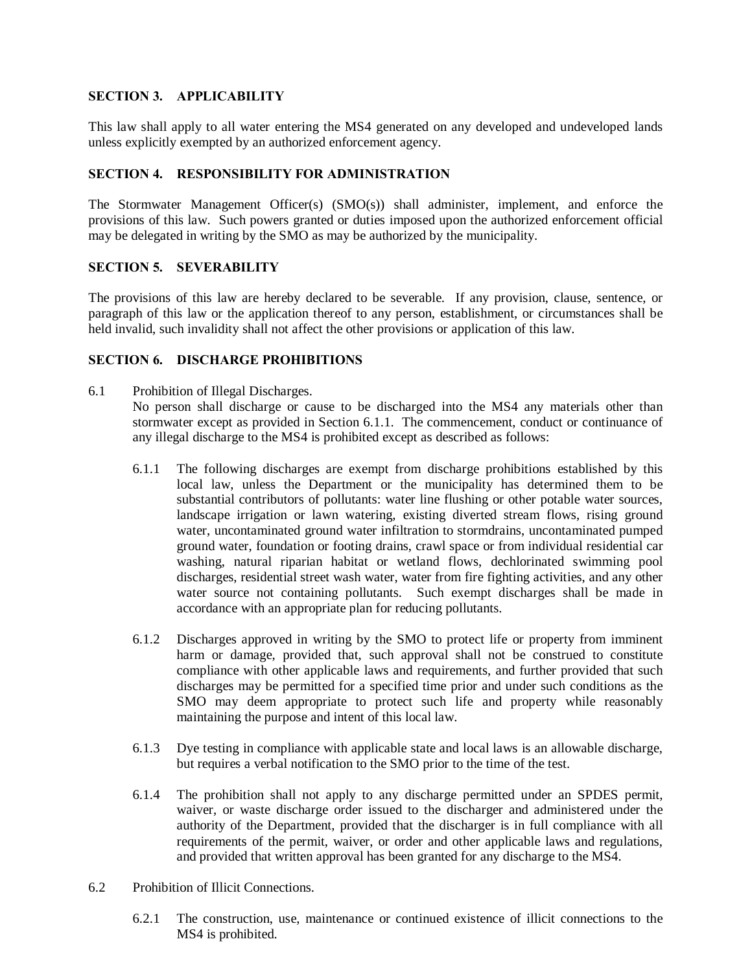## **SECTION 3. APPLICABILITY**

This law shall apply to all water entering the MS4 generated on any developed and undeveloped lands unless explicitly exempted by an authorized enforcement agency.

#### **SECTION 4. RESPONSIBILITY FOR ADMINISTRATION**

The Stormwater Management Officer(s) (SMO(s)) shall administer, implement, and enforce the provisions of this law. Such powers granted or duties imposed upon the authorized enforcement official may be delegated in writing by the SMO as may be authorized by the municipality.

#### **SECTION 5. SEVERABILITY**

The provisions of this law are hereby declared to be severable. If any provision, clause, sentence, or paragraph of this law or the application thereof to any person, establishment, or circumstances shall be held invalid, such invalidity shall not affect the other provisions or application of this law.

## **SECTION 6. DISCHARGE PROHIBITIONS**

- 6.1 Prohibition of Illegal Discharges. No person shall discharge or cause to be discharged into the MS4 any materials other than stormwater except as provided in Section 6.1.1. The commencement, conduct or continuance of any illegal discharge to the MS4 is prohibited except as described as follows:
	- 6.1.1 The following discharges are exempt from discharge prohibitions established by this local law, unless the Department or the municipality has determined them to be substantial contributors of pollutants: water line flushing or other potable water sources, landscape irrigation or lawn watering, existing diverted stream flows, rising ground water, uncontaminated ground water infiltration to stormdrains, uncontaminated pumped ground water, foundation or footing drains, crawl space or from individual residential car washing, natural riparian habitat or wetland flows, dechlorinated swimming pool discharges, residential street wash water, water from fire fighting activities, and any other water source not containing pollutants. Such exempt discharges shall be made in accordance with an appropriate plan for reducing pollutants.
	- 6.1.2 Discharges approved in writing by the SMO to protect life or property from imminent harm or damage, provided that, such approval shall not be construed to constitute compliance with other applicable laws and requirements, and further provided that such discharges may be permitted for a specified time prior and under such conditions as the SMO may deem appropriate to protect such life and property while reasonably maintaining the purpose and intent of this local law.
	- 6.1.3 Dye testing in compliance with applicable state and local laws is an allowable discharge, but requires a verbal notification to the SMO prior to the time of the test.
	- 6.1.4 The prohibition shall not apply to any discharge permitted under an SPDES permit, waiver, or waste discharge order issued to the discharger and administered under the authority of the Department, provided that the discharger is in full compliance with all requirements of the permit, waiver, or order and other applicable laws and regulations, and provided that written approval has been granted for any discharge to the MS4.
- 6.2 Prohibition of Illicit Connections.
	- 6.2.1 The construction, use, maintenance or continued existence of illicit connections to the MS4 is prohibited.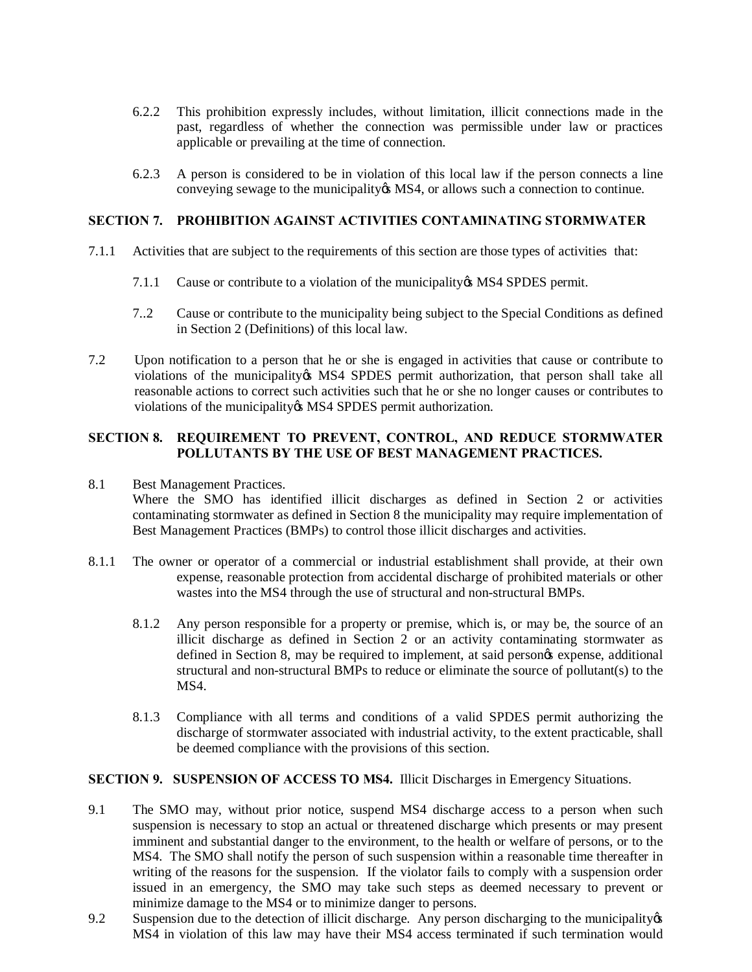- 6.2.2 This prohibition expressly includes, without limitation, illicit connections made in the past, regardless of whether the connection was permissible under law or practices applicable or prevailing at the time of connection.
- 6.2.3 A person is considered to be in violation of this local law if the person connects a line conveying sewage to the municipality & MS4, or allows such a connection to continue.

#### **SECTION 7. PROHIBITION AGAINST ACTIVITIES CONTAMINATING STORMWATER**

- 7.1.1 Activities that are subject to the requirements of this section are those types of activities that:
	- 7.1.1 Cause or contribute to a violation of the municipality & MS4 SPDES permit.
	- 7..2 Cause or contribute to the municipality being subject to the Special Conditions as defined in Section 2 (Definitions) of this local law.
- 7.2 Upon notification to a person that he or she is engaged in activities that cause or contribute to violations of the municipality ts MS4 SPDES permit authorization, that person shall take all reasonable actions to correct such activities such that he or she no longer causes or contributes to violations of the municipality & MS4 SPDES permit authorization.

## **SECTION 8. REQUIREMENT TO PREVENT, CONTROL, AND REDUCE STORMWATER POLLUTANTS BY THE USE OF BEST MANAGEMENT PRACTICES.**

8.1 Best Management Practices.

Where the SMO has identified illicit discharges as defined in Section 2 or activities contaminating stormwater as defined in Section 8 the municipality may require implementation of Best Management Practices (BMPs) to control those illicit discharges and activities.

- 8.1.1 The owner or operator of a commercial or industrial establishment shall provide, at their own expense, reasonable protection from accidental discharge of prohibited materials or other wastes into the MS4 through the use of structural and non-structural BMPs.
	- 8.1.2 Any person responsible for a property or premise, which is, or may be, the source of an illicit discharge as defined in Section 2 or an activity contaminating stormwater as defined in Section 8, may be required to implement, at said person $\alpha$  expense, additional structural and non-structural BMPs to reduce or eliminate the source of pollutant(s) to the MS4.
	- 8.1.3 Compliance with all terms and conditions of a valid SPDES permit authorizing the discharge of stormwater associated with industrial activity, to the extent practicable, shall be deemed compliance with the provisions of this section.

#### **SECTION 9. SUSPENSION OF ACCESS TO MS4.** Illicit Discharges in Emergency Situations.

- 9.1 The SMO may, without prior notice, suspend MS4 discharge access to a person when such suspension is necessary to stop an actual or threatened discharge which presents or may present imminent and substantial danger to the environment, to the health or welfare of persons, or to the MS4. The SMO shall notify the person of such suspension within a reasonable time thereafter in writing of the reasons for the suspension. If the violator fails to comply with a suspension order issued in an emergency, the SMO may take such steps as deemed necessary to prevent or minimize damage to the MS4 or to minimize danger to persons.
- 9.2 Suspension due to the detection of illicit discharge. Any person discharging to the municipality of  $\mathcal{L}$ MS4 in violation of this law may have their MS4 access terminated if such termination would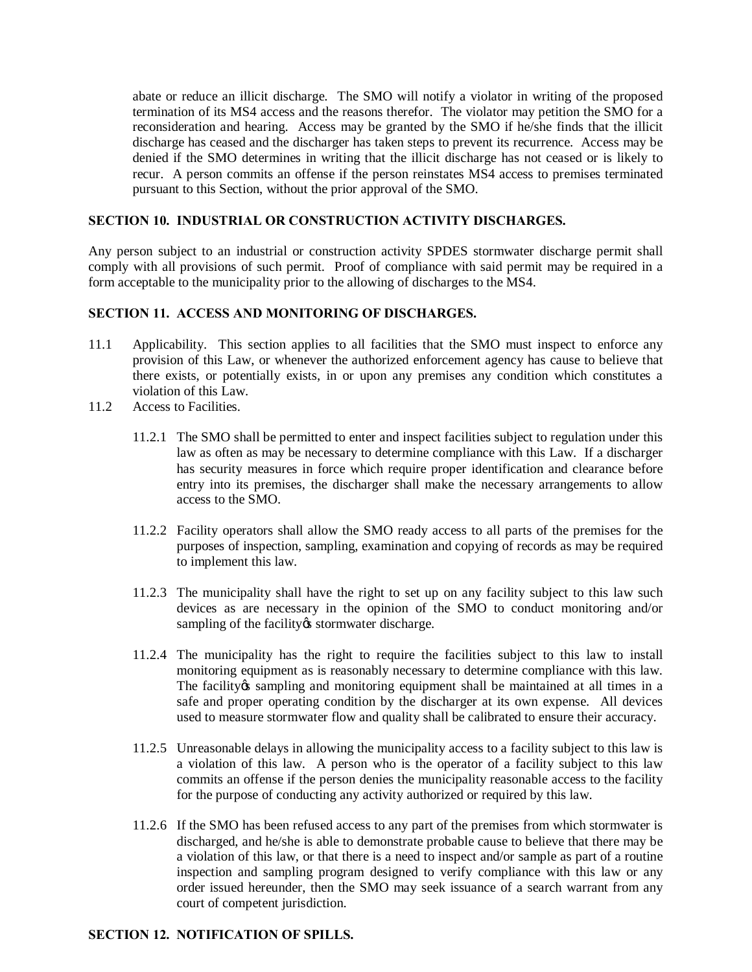abate or reduce an illicit discharge. The SMO will notify a violator in writing of the proposed termination of its MS4 access and the reasons therefor. The violator may petition the SMO for a reconsideration and hearing. Access may be granted by the SMO if he/she finds that the illicit discharge has ceased and the discharger has taken steps to prevent its recurrence. Access may be denied if the SMO determines in writing that the illicit discharge has not ceased or is likely to recur. A person commits an offense if the person reinstates MS4 access to premises terminated pursuant to this Section, without the prior approval of the SMO.

## **SECTION 10. INDUSTRIAL OR CONSTRUCTION ACTIVITY DISCHARGES.**

Any person subject to an industrial or construction activity SPDES stormwater discharge permit shall comply with all provisions of such permit. Proof of compliance with said permit may be required in a form acceptable to the municipality prior to the allowing of discharges to the MS4.

# **SECTION 11. ACCESS AND MONITORING OF DISCHARGES.**

- 11.1 Applicability. This section applies to all facilities that the SMO must inspect to enforce any provision of this Law, or whenever the authorized enforcement agency has cause to believe that there exists, or potentially exists, in or upon any premises any condition which constitutes a violation of this  $\hat{L}aw$ .
- 11.2 Access to Facilities.
	- 11.2.1 The SMO shall be permitted to enter and inspect facilities subject to regulation under this law as often as may be necessary to determine compliance with this Law. If a discharger has security measures in force which require proper identification and clearance before entry into its premises, the discharger shall make the necessary arrangements to allow access to the SMO.
	- 11.2.2 Facility operators shall allow the SMO ready access to all parts of the premises for the purposes of inspection, sampling, examination and copying of records as may be required to implement this law.
	- 11.2.3 The municipality shall have the right to set up on any facility subject to this law such devices as are necessary in the opinion of the SMO to conduct monitoring and/or sampling of the facility is stormwater discharge.
	- 11.2.4 The municipality has the right to require the facilities subject to this law to install monitoring equipment as is reasonably necessary to determine compliance with this law. The facility *is* sampling and monitoring equipment shall be maintained at all times in a safe and proper operating condition by the discharger at its own expense. All devices used to measure stormwater flow and quality shall be calibrated to ensure their accuracy.
	- 11.2.5 Unreasonable delays in allowing the municipality access to a facility subject to this law is a violation of this law. A person who is the operator of a facility subject to this law commits an offense if the person denies the municipality reasonable access to the facility for the purpose of conducting any activity authorized or required by this law.
	- 11.2.6 If the SMO has been refused access to any part of the premises from which stormwater is discharged, and he/she is able to demonstrate probable cause to believe that there may be a violation of this law, or that there is a need to inspect and/or sample as part of a routine inspection and sampling program designed to verify compliance with this law or any order issued hereunder, then the SMO may seek issuance of a search warrant from any court of competent jurisdiction.

## **SECTION 12. NOTIFICATION OF SPILLS.**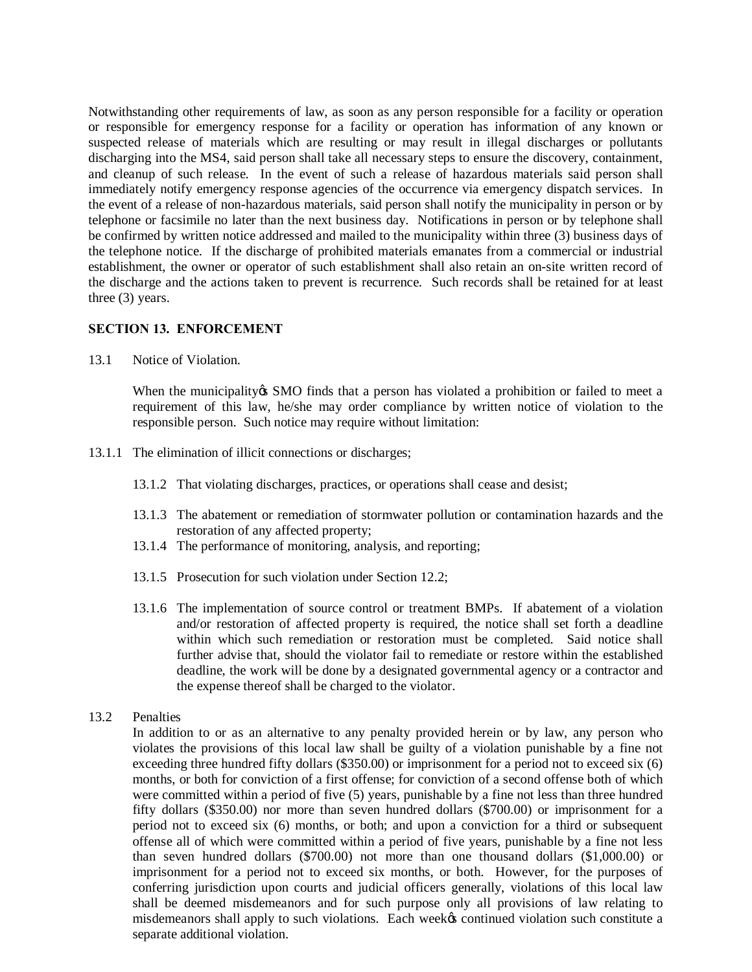Notwithstanding other requirements of law, as soon as any person responsible for a facility or operation or responsible for emergency response for a facility or operation has information of any known or suspected release of materials which are resulting or may result in illegal discharges or pollutants discharging into the MS4, said person shall take all necessary steps to ensure the discovery, containment, and cleanup of such release. In the event of such a release of hazardous materials said person shall immediately notify emergency response agencies of the occurrence via emergency dispatch services. In the event of a release of non-hazardous materials, said person shall notify the municipality in person or by telephone or facsimile no later than the next business day. Notifications in person or by telephone shall be confirmed by written notice addressed and mailed to the municipality within three (3) business days of the telephone notice. If the discharge of prohibited materials emanates from a commercial or industrial establishment, the owner or operator of such establishment shall also retain an on-site written record of the discharge and the actions taken to prevent is recurrence. Such records shall be retained for at least three (3) years.

#### **SECTION 13. ENFORCEMENT**

13.1 Notice of Violation.

When the municipality os SMO finds that a person has violated a prohibition or failed to meet a requirement of this law, he/she may order compliance by written notice of violation to the responsible person. Such notice may require without limitation:

- 13.1.1 The elimination of illicit connections or discharges;
	- 13.1.2 That violating discharges, practices, or operations shall cease and desist;
	- 13.1.3 The abatement or remediation of stormwater pollution or contamination hazards and the restoration of any affected property;
	- 13.1.4 The performance of monitoring, analysis, and reporting;
	- 13.1.5 Prosecution for such violation under Section 12.2;
	- 13.1.6 The implementation of source control or treatment BMPs. If abatement of a violation and/or restoration of affected property is required, the notice shall set forth a deadline within which such remediation or restoration must be completed. Said notice shall further advise that, should the violator fail to remediate or restore within the established deadline, the work will be done by a designated governmental agency or a contractor and the expense thereof shall be charged to the violator.

# 13.2 Penalties

In addition to or as an alternative to any penalty provided herein or by law, any person who violates the provisions of this local law shall be guilty of a violation punishable by a fine not exceeding three hundred fifty dollars (\$350.00) or imprisonment for a period not to exceed six (6) months, or both for conviction of a first offense; for conviction of a second offense both of which were committed within a period of five (5) years, punishable by a fine not less than three hundred fifty dollars (\$350.00) nor more than seven hundred dollars (\$700.00) or imprisonment for a period not to exceed six (6) months, or both; and upon a conviction for a third or subsequent offense all of which were committed within a period of five years, punishable by a fine not less than seven hundred dollars (\$700.00) not more than one thousand dollars (\$1,000.00) or imprisonment for a period not to exceed six months, or both. However, for the purposes of conferring jurisdiction upon courts and judicial officers generally, violations of this local law shall be deemed misdemeanors and for such purpose only all provisions of law relating to misdemeanors shall apply to such violations. Each weekes continued violation such constitute a separate additional violation.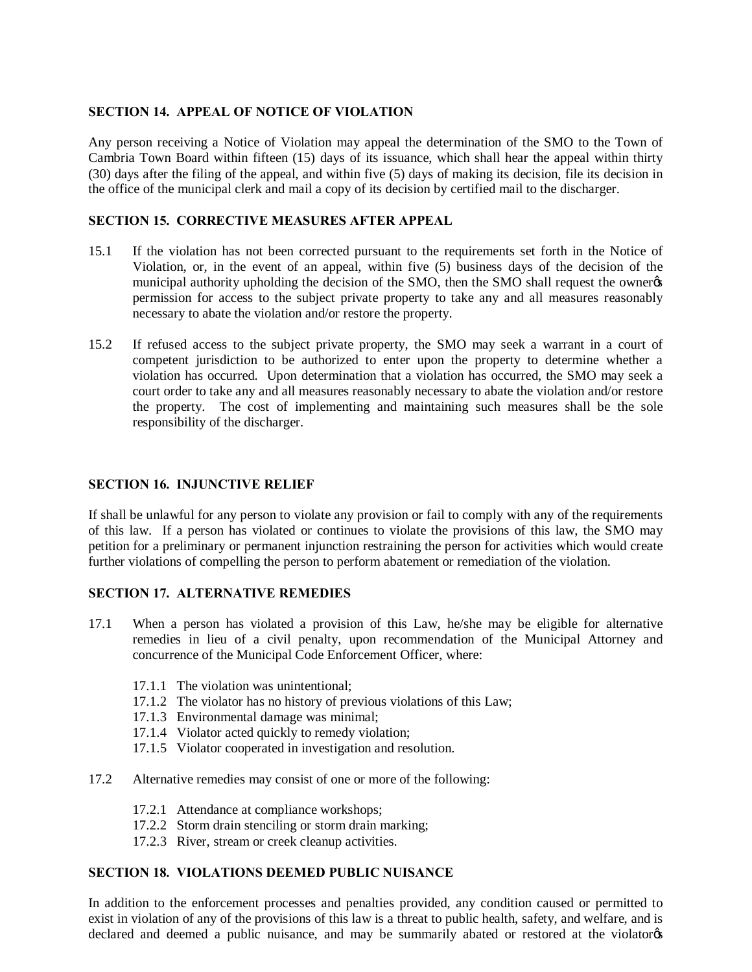# **SECTION 14. APPEAL OF NOTICE OF VIOLATION**

Any person receiving a Notice of Violation may appeal the determination of the SMO to the Town of Cambria Town Board within fifteen (15) days of its issuance, which shall hear the appeal within thirty (30) days after the filing of the appeal, and within five (5) days of making its decision, file its decision in the office of the municipal clerk and mail a copy of its decision by certified mail to the discharger.

## **SECTION 15. CORRECTIVE MEASURES AFTER APPEAL**

- 15.1 If the violation has not been corrected pursuant to the requirements set forth in the Notice of Violation, or, in the event of an appeal, within five (5) business days of the decision of the municipal authority upholding the decision of the SMO, then the SMO shall request the ownergs permission for access to the subject private property to take any and all measures reasonably necessary to abate the violation and/or restore the property.
- 15.2 If refused access to the subject private property, the SMO may seek a warrant in a court of competent jurisdiction to be authorized to enter upon the property to determine whether a violation has occurred. Upon determination that a violation has occurred, the SMO may seek a court order to take any and all measures reasonably necessary to abate the violation and/or restore the property. The cost of implementing and maintaining such measures shall be the sole responsibility of the discharger.

## **SECTION 16. INJUNCTIVE RELIEF**

If shall be unlawful for any person to violate any provision or fail to comply with any of the requirements of this law. If a person has violated or continues to violate the provisions of this law, the SMO may petition for a preliminary or permanent injunction restraining the person for activities which would create further violations of compelling the person to perform abatement or remediation of the violation.

# **SECTION 17. ALTERNATIVE REMEDIES**

- 17.1 When a person has violated a provision of this Law, he/she may be eligible for alternative remedies in lieu of a civil penalty, upon recommendation of the Municipal Attorney and concurrence of the Municipal Code Enforcement Officer, where:
	- 17.1.1 The violation was unintentional;
	- 17.1.2 The violator has no history of previous violations of this Law;
	- 17.1.3 Environmental damage was minimal;
	- 17.1.4 Violator acted quickly to remedy violation;
	- 17.1.5 Violator cooperated in investigation and resolution.
- 17.2 Alternative remedies may consist of one or more of the following:
	- 17.2.1 Attendance at compliance workshops;
	- 17.2.2 Storm drain stenciling or storm drain marking;
	- 17.2.3 River, stream or creek cleanup activities.

## **SECTION 18. VIOLATIONS DEEMED PUBLIC NUISANCE**

In addition to the enforcement processes and penalties provided, any condition caused or permitted to exist in violation of any of the provisions of this law is a threat to public health, safety, and welfare, and is declared and deemed a public nuisance, and may be summarily abated or restored at the violator  $\alpha$